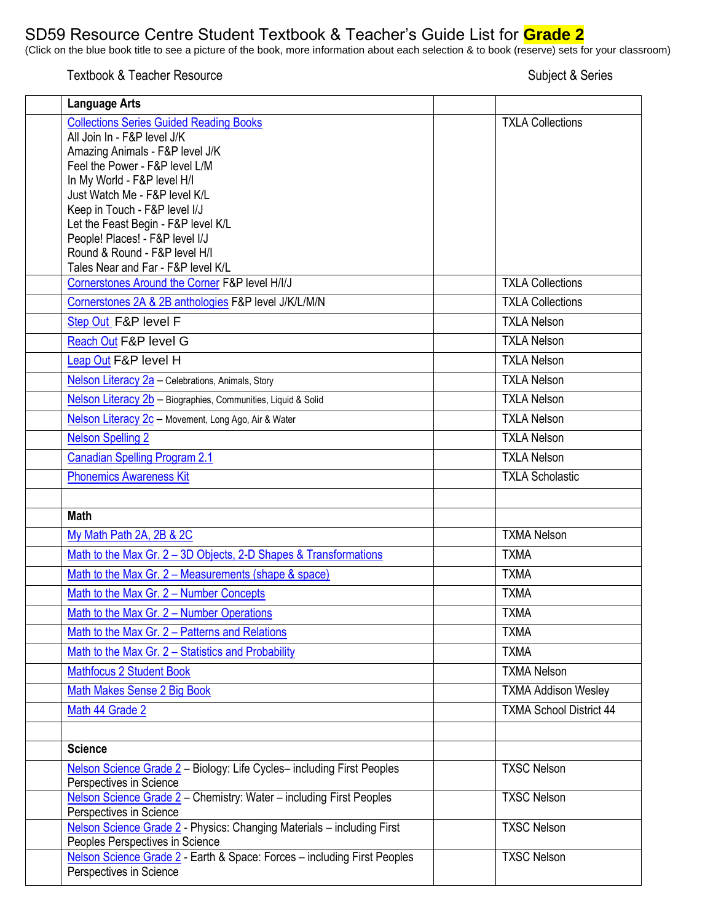## SD59 Resource Centre Student Textbook & Teacher's Guide List for **Grade 2**

(Click on the blue book title to see a picture of the book, more information about each selection & to book (reserve) sets for your classroom)

Textbook & Teacher Resource Subject & Series

| <b>Language Arts</b>                                                                                      |                                |
|-----------------------------------------------------------------------------------------------------------|--------------------------------|
| <b>Collections Series Guided Reading Books</b>                                                            | <b>TXLA Collections</b>        |
| All Join In - F&P level J/K                                                                               |                                |
| Amazing Animals - F&P level J/K                                                                           |                                |
| Feel the Power - F&P level L/M                                                                            |                                |
| In My World - F&P level H/I<br>Just Watch Me - F&P level K/L                                              |                                |
| Keep in Touch - F&P level I/J                                                                             |                                |
| Let the Feast Begin - F&P level K/L                                                                       |                                |
| People! Places! - F&P level I/J                                                                           |                                |
| Round & Round - F&P level H/I                                                                             |                                |
| Tales Near and Far - F&P level K/L                                                                        | <b>TXLA Collections</b>        |
| Cornerstones Around the Corner F&P level H/I/J<br>Cornerstones 2A & 2B anthologies F&P level J/K/L/M/N    | <b>TXLA Collections</b>        |
|                                                                                                           |                                |
| Step Out F&P level F                                                                                      | <b>TXLA Nelson</b>             |
| Reach Out F&P level G                                                                                     | <b>TXLA Nelson</b>             |
| Leap Out F&P level H                                                                                      | <b>TXLA Nelson</b>             |
| Nelson Literacy 2a - Celebrations, Animals, Story                                                         | <b>TXLA Nelson</b>             |
| Nelson Literacy 2b - Biographies, Communities, Liquid & Solid                                             | <b>TXLA Nelson</b>             |
| Nelson Literacy 2c - Movement, Long Ago, Air & Water                                                      | <b>TXLA Nelson</b>             |
| <b>Nelson Spelling 2</b>                                                                                  | <b>TXLA Nelson</b>             |
| <b>Canadian Spelling Program 2.1</b>                                                                      | <b>TXLA Nelson</b>             |
| <b>Phonemics Awareness Kit</b>                                                                            | <b>TXLA Scholastic</b>         |
|                                                                                                           |                                |
| <b>Math</b>                                                                                               |                                |
| My Math Path 2A, 2B & 2C                                                                                  | <b>TXMA Nelson</b>             |
| Math to the Max Gr. 2 - 3D Objects, 2-D Shapes & Transformations                                          | <b>TXMA</b>                    |
| Math to the Max Gr. 2 - Measurements (shape & space)                                                      | <b>TXMA</b>                    |
| Math to the Max Gr. 2 - Number Concepts                                                                   | <b>TXMA</b>                    |
| Math to the Max Gr. 2 – Number Operations                                                                 | TXMA                           |
| Math to the Max Gr. 2 - Patterns and Relations                                                            | <b>TXMA</b>                    |
| Math to the Max Gr. 2 - Statistics and Probability                                                        | <b>TXMA</b>                    |
| <b>Mathfocus 2 Student Book</b>                                                                           | <b>TXMA Nelson</b>             |
| Math Makes Sense 2 Big Book                                                                               | <b>TXMA Addison Wesley</b>     |
| Math 44 Grade 2                                                                                           | <b>TXMA School District 44</b> |
|                                                                                                           |                                |
| <b>Science</b>                                                                                            |                                |
| Nelson Science Grade 2 - Biology: Life Cycles-including First Peoples<br>Perspectives in Science          | <b>TXSC Nelson</b>             |
| Nelson Science Grade 2 - Chemistry: Water - including First Peoples<br>Perspectives in Science            | <b>TXSC Nelson</b>             |
| Nelson Science Grade 2 - Physics: Changing Materials - including First<br>Peoples Perspectives in Science | <b>TXSC Nelson</b>             |
| Nelson Science Grade 2 - Earth & Space: Forces - including First Peoples<br>Perspectives in Science       | <b>TXSC Nelson</b>             |